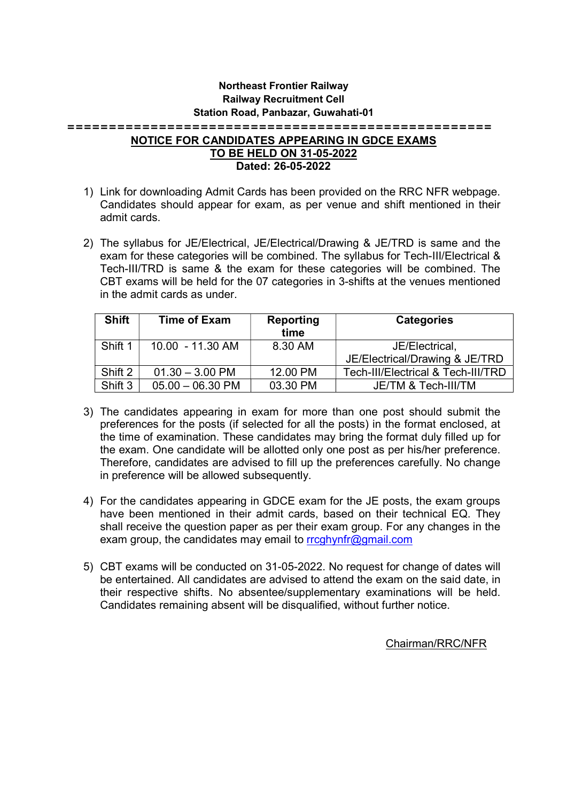## Northeast Frontier Railway Railway Recruitment Cell Station Road, Panbazar, Guwahati-01

===================================================

## NOTICE FOR CANDIDATES APPEARING IN GDCE EXAMS TO BE HELD ON 31-05-2022 Dated: 26-05-2022

- 1) Link for downloading Admit Cards has been provided on the RRC NFR webpage. Candidates should appear for exam, as per venue and shift mentioned in their admit cards.
- 2) The syllabus for JE/Electrical, JE/Electrical/Drawing & JE/TRD is same and the exam for these categories will be combined. The syllabus for Tech-III/Electrical & Tech-III/TRD is same & the exam for these categories will be combined. The CBT exams will be held for the 07 categories in 3-shifts at the venues mentioned in the admit cards as under.

| <b>Shift</b> | <b>Time of Exam</b> | Reporting<br>time | <b>Categories</b>                  |
|--------------|---------------------|-------------------|------------------------------------|
| Shift 1      | 10.00 - 11.30 AM    | 8.30 AM           | JE/Electrical,                     |
|              |                     |                   | JE/Electrical/Drawing & JE/TRD     |
| Shift 2      | $01.30 - 3.00$ PM   | 12.00 PM          | Tech-III/Electrical & Tech-III/TRD |
| Shift 3      | $05.00 - 06.30$ PM  | 03.30 PM          | JE/TM & Tech-III/TM                |

- 3) The candidates appearing in exam for more than one post should submit the preferences for the posts (if selected for all the posts) in the format enclosed, at the time of examination. These candidates may bring the format duly filled up for the exam. One candidate will be allotted only one post as per his/her preference. Therefore, candidates are advised to fill up the preferences carefully. No change in preference will be allowed subsequently.
- 4) For the candidates appearing in GDCE exam for the JE posts, the exam groups have been mentioned in their admit cards, based on their technical EQ. They shall receive the question paper as per their exam group. For any changes in the exam group, the candidates may email to rrcghynfr@gmail.com
- 5) CBT exams will be conducted on 31-05-2022. No request for change of dates will be entertained. All candidates are advised to attend the exam on the said date, in their respective shifts. No absentee/supplementary examinations will be held. Candidates remaining absent will be disqualified, without further notice.

Chairman/RRC/NFR